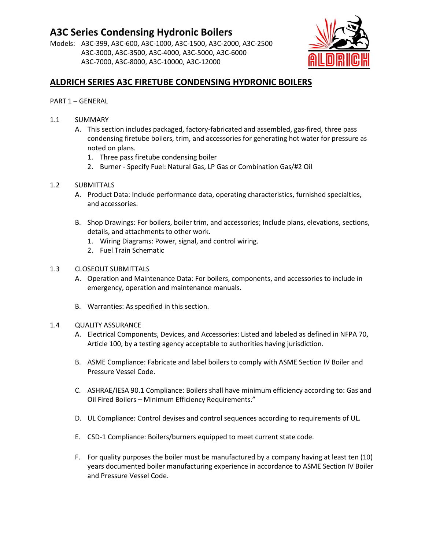# **A3C Series Condensing Hydronic Boilers**

Models: A3C-399, A3C-600, A3C-1000, A3C-1500, A3C-2000, A3C-2500 A3C-3000, A3C-3500, A3C-4000, A3C-5000, A3C-6000 A3C-7000, A3C-8000, A3C-10000, A3C-12000



## **ALDRICH SERIES A3C FIRETUBE CONDENSING HYDRONIC BOILERS**

## PART 1 – GENERAL

- 1.1 SUMMARY
	- A. This section includes packaged, factory-fabricated and assembled, gas-fired, three pass condensing firetube boilers, trim, and accessories for generating hot water for pressure as noted on plans.
		- 1. Three pass firetube condensing boiler
		- 2. Burner Specify Fuel: Natural Gas, LP Gas or Combination Gas/#2 Oil

## 1.2 SUBMITTALS

- A. Product Data: Include performance data, operating characteristics, furnished specialties, and accessories.
- B. Shop Drawings: For boilers, boiler trim, and accessories; Include plans, elevations, sections, details, and attachments to other work.
	- 1. Wiring Diagrams: Power, signal, and control wiring.
	- 2. Fuel Train Schematic

## 1.3 CLOSEOUT SUBMITTALS

- A. Operation and Maintenance Data: For boilers, components, and accessories to include in emergency, operation and maintenance manuals.
- B. Warranties: As specified in this section.

#### 1.4 QUALITY ASSURANCE

- A. Electrical Components, Devices, and Accessories: Listed and labeled as defined in NFPA 70, Article 100, by a testing agency acceptable to authorities having jurisdiction.
- B. ASME Compliance: Fabricate and label boilers to comply with ASME Section IV Boiler and Pressure Vessel Code.
- C. ASHRAE/IESA 90.1 Compliance: Boilers shall have minimum efficiency according to: Gas and Oil Fired Boilers – Minimum Efficiency Requirements."
- D. UL Compliance: Control devises and control sequences according to requirements of UL.
- E. CSD-1 Compliance: Boilers/burners equipped to meet current state code.
- F. For quality purposes the boiler must be manufactured by a company having at least ten (10) years documented boiler manufacturing experience in accordance to ASME Section IV Boiler and Pressure Vessel Code.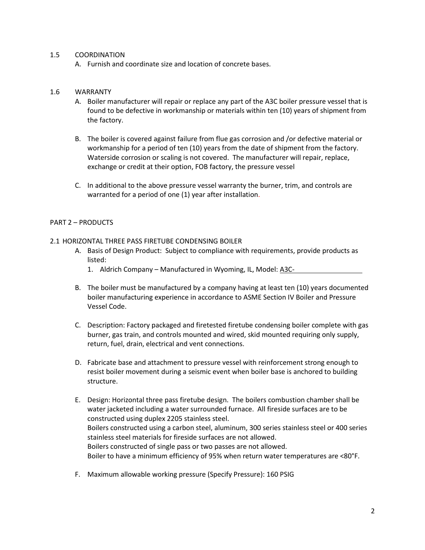#### 1.5 COORDINATION

A. Furnish and coordinate size and location of concrete bases.

#### 1.6 WARRANTY

- A. Boiler manufacturer will repair or replace any part of the A3C boiler pressure vessel that is found to be defective in workmanship or materials within ten (10) years of shipment from the factory.
- B. The boiler is covered against failure from flue gas corrosion and /or defective material or workmanship for a period of ten (10) years from the date of shipment from the factory. Waterside corrosion or scaling is not covered. The manufacturer will repair, replace, exchange or credit at their option, FOB factory, the pressure vessel
- C. In additional to the above pressure vessel warranty the burner, trim, and controls are warranted for a period of one (1) year after installation.

#### PART 2 – PRODUCTS

- 2.1 HORIZONTAL THREE PASS FIRETUBE CONDENSING BOILER
	- A. Basis of Design Product: Subject to compliance with requirements, provide products as listed:
		- 1. Aldrich Company Manufactured in Wyoming, IL, Model: A3C-
	- B. The boiler must be manufactured by a company having at least ten (10) years documented boiler manufacturing experience in accordance to ASME Section IV Boiler and Pressure Vessel Code.
	- C. Description: Factory packaged and firetested firetube condensing boiler complete with gas burner, gas train, and controls mounted and wired, skid mounted requiring only supply, return, fuel, drain, electrical and vent connections.
	- D. Fabricate base and attachment to pressure vessel with reinforcement strong enough to resist boiler movement during a seismic event when boiler base is anchored to building structure.
	- E. Design: Horizontal three pass firetube design. The boilers combustion chamber shall be water jacketed including a water surrounded furnace. All fireside surfaces are to be constructed using duplex 2205 stainless steel. Boilers constructed using a carbon steel, aluminum, 300 series stainless steel or 400 series stainless steel materials for fireside surfaces are not allowed. Boilers constructed of single pass or two passes are not allowed. Boiler to have a minimum efficiency of 95% when return water temperatures are <80°F.
	- F. Maximum allowable working pressure (Specify Pressure): 160 PSIG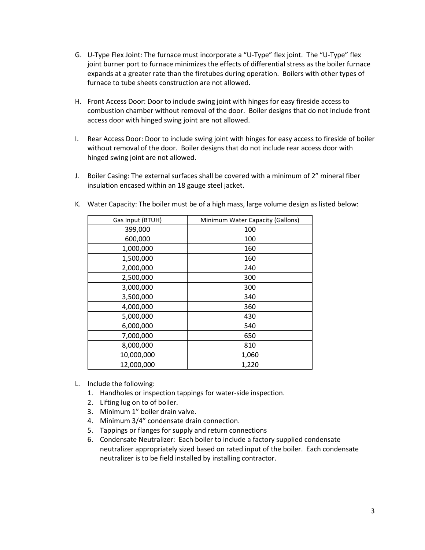- G. U-Type Flex Joint: The furnace must incorporate a "U-Type" flex joint. The "U-Type" flex joint burner port to furnace minimizes the effects of differential stress as the boiler furnace expands at a greater rate than the firetubes during operation. Boilers with other types of furnace to tube sheets construction are not allowed.
- H. Front Access Door: Door to include swing joint with hinges for easy fireside access to combustion chamber without removal of the door. Boiler designs that do not include front access door with hinged swing joint are not allowed.
- I. Rear Access Door: Door to include swing joint with hinges for easy access to fireside of boiler without removal of the door. Boiler designs that do not include rear access door with hinged swing joint are not allowed.
- J. Boiler Casing: The external surfaces shall be covered with a minimum of 2" mineral fiber insulation encased within an 18 gauge steel jacket.

| Gas Input (BTUH) | Minimum Water Capacity (Gallons) |
|------------------|----------------------------------|
| 399,000          | 100                              |
| 600,000          | 100                              |
| 1,000,000        | 160                              |
| 1,500,000        | 160                              |
| 2,000,000        | 240                              |
| 2,500,000        | 300                              |
| 3,000,000        | 300                              |
| 3,500,000        | 340                              |
| 4,000,000        | 360                              |
| 5,000,000        | 430                              |
| 6,000,000        | 540                              |
| 7,000,000        | 650                              |
| 8,000,000        | 810                              |
| 10,000,000       | 1,060                            |
| 12,000,000       | 1,220                            |

K. Water Capacity: The boiler must be of a high mass, large volume design as listed below:

- L. Include the following:
	- 1. Handholes or inspection tappings for water-side inspection.
	- 2. Lifting lug on to of boiler.
	- 3. Minimum 1" boiler drain valve.
	- 4. Minimum 3/4" condensate drain connection.
	- 5. Tappings or flanges for supply and return connections
	- 6. Condensate Neutralizer: Each boiler to include a factory supplied condensate neutralizer appropriately sized based on rated input of the boiler. Each condensate neutralizer is to be field installed by installing contractor.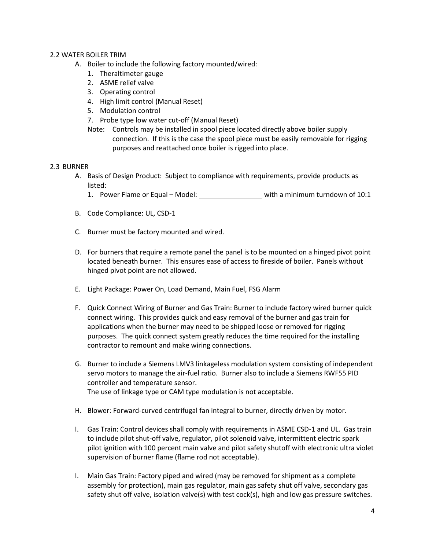#### 2.2 WATER BOILER TRIM

- A. Boiler to include the following factory mounted/wired:
	- 1. Theraltimeter gauge
	- 2. ASME relief valve
	- 3. Operating control
	- 4. High limit control (Manual Reset)
	- 5. Modulation control
	- 7. Probe type low water cut-off (Manual Reset)
	- Note: Controls may be installed in spool piece located directly above boiler supply connection. If this is the case the spool piece must be easily removable for rigging purposes and reattached once boiler is rigged into place.

#### 2.3 BURNER

- A. Basis of Design Product: Subject to compliance with requirements, provide products as listed:
	- 1. Power Flame or Equal Model: with a minimum turndown of 10:1
- B. Code Compliance: UL, CSD-1
- C. Burner must be factory mounted and wired.
- D. For burners that require a remote panel the panel is to be mounted on a hinged pivot point located beneath burner. This ensures ease of access to fireside of boiler. Panels without hinged pivot point are not allowed.
- E. Light Package: Power On, Load Demand, Main Fuel, FSG Alarm
- F. Quick Connect Wiring of Burner and Gas Train: Burner to include factory wired burner quick connect wiring. This provides quick and easy removal of the burner and gas train for applications when the burner may need to be shipped loose or removed for rigging purposes. The quick connect system greatly reduces the time required for the installing contractor to remount and make wiring connections.
- G. Burner to include a Siemens LMV3 linkageless modulation system consisting of independent servo motors to manage the air-fuel ratio. Burner also to include a Siemens RWF55 PID controller and temperature sensor. The use of linkage type or CAM type modulation is not acceptable.
- H. Blower: Forward-curved centrifugal fan integral to burner, directly driven by motor.
- I. Gas Train: Control devices shall comply with requirements in ASME CSD-1 and UL. Gas train to include pilot shut-off valve, regulator, pilot solenoid valve, intermittent electric spark pilot ignition with 100 percent main valve and pilot safety shutoff with electronic ultra violet supervision of burner flame (flame rod not acceptable).
- I. Main Gas Train: Factory piped and wired (may be removed for shipment as a complete assembly for protection), main gas regulator, main gas safety shut off valve, secondary gas safety shut off valve, isolation valve(s) with test cock(s), high and low gas pressure switches.